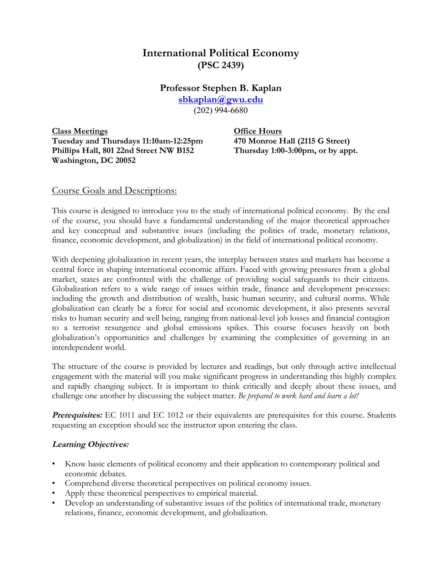# **International Political Economy (PSC 2439)**

# **Professor Stephen B. Kaplan**

**sbkaplan@gwu.edu**

(202) 994-6680

**Class Meetings Office Hours Tuesday and Thursdays 11:10am-12:25pm 470 Monroe Hall (2115 G Street) Phillips Hall, 801 22nd Street NW B152 Thursday 1:00-3:00pm, or by appt. Washington, DC 20052**

### Course Goals and Descriptions:

This course is designed to introduce you to the study of international political economy. By the end of the course, you should have a fundamental understanding of the major theoretical approaches and key conceptual and substantive issues (including the politics of trade, monetary relations, finance, economic development, and globalization) in the field of international political economy.

With deepening globalization in recent years, the interplay between states and markets has become a central force in shaping international economic affairs. Faced with growing pressures from a global market, states are confronted with the challenge of providing social safeguards to their citizens. Globalization refers to a wide range of issues within trade, finance and development processes: including the growth and distribution of wealth, basic human security, and cultural norms. While globalization can clearly be a force for social and economic development, it also presents several risks to human security and well being, ranging from national-level job losses and financial contagion to a terrorist resurgence and global emissions spikes. This course focuses heavily on both globalization's opportunities and challenges by examining the complexities of governing in an interdependent world.

The structure of the course is provided by lectures and readings, but only through active intellectual engagement with the material will you make significant progress in understanding this highly complex and rapidly changing subject. It is important to think critically and deeply about these issues, and challenge one another by discussing the subject matter. *Be prepared to work hard and learn a lot!*

**Prerequisites:** EC 1011 and EC 1012 or their equivalents are prerequisites for this course. Students requesting an exception should see the instructor upon entering the class.

### **Learning Objectives:**

- Know basic elements of political economy and their application to contemporary political and economic debates.
- Comprehend diverse theoretical perspectives on political economy issues.
- Apply these theoretical perspectives to empirical material.
- Develop an understanding of substantive issues of the politics of international trade, monetary relations, finance, economic development, and globalization.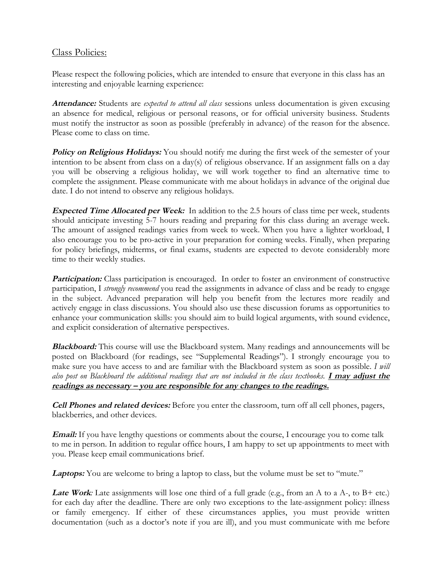## Class Policies:

Please respect the following policies, which are intended to ensure that everyone in this class has an interesting and enjoyable learning experience:

**Attendance:** Students are *expected to attend all class* sessions unless documentation is given excusing an absence for medical, religious or personal reasons, or for official university business. Students must notify the instructor as soon as possible (preferably in advance) of the reason for the absence. Please come to class on time.

**Policy on Religious Holidays:** You should notify me during the first week of the semester of your intention to be absent from class on a day(s) of religious observance. If an assignment falls on a day you will be observing a religious holiday, we will work together to find an alternative time to complete the assignment. Please communicate with me about holidays in advance of the original due date. I do not intend to observe any religious holidays.

**Expected Time Allocated per Week:** In addition to the 2.5 hours of class time per week, students should anticipate investing 5-7 hours reading and preparing for this class during an average week. The amount of assigned readings varies from week to week. When you have a lighter workload, I also encourage you to be pro-active in your preparation for coming weeks. Finally, when preparing for policy briefings, midterms, or final exams, students are expected to devote considerably more time to their weekly studies.

**Participation:** Class participation is encouraged. In order to foster an environment of constructive participation, I *strongly recommend* you read the assignments in advance of class and be ready to engage in the subject. Advanced preparation will help you benefit from the lectures more readily and actively engage in class discussions. You should also use these discussion forums as opportunities to enhance your communication skills: you should aim to build logical arguments, with sound evidence, and explicit consideration of alternative perspectives.

**Blackboard:** This course will use the Blackboard system. Many readings and announcements will be posted on Blackboard (for readings, see "Supplemental Readings"). I strongly encourage you to make sure you have access to and are familiar with the Blackboard system as soon as possible. *I will also post on Blackboard the additional readings that are not included in the class textbooks.* **I may adjust the readings as necessary – you are responsible for any changes to the readings.**

**Cell Phones and related devices:** Before you enter the classroom, turn off all cell phones, pagers, blackberries, and other devices.

**Email:** If you have lengthy questions or comments about the course, I encourage you to come talk to me in person. In addition to regular office hours, I am happy to set up appointments to meet with you. Please keep email communications brief.

Laptops: You are welcome to bring a laptop to class, but the volume must be set to "mute."

Late Work: Late assignments will lose one third of a full grade (e.g., from an A to a A-, to B+ etc.) for each day after the deadline. There are only two exceptions to the late-assignment policy: illness or family emergency. If either of these circumstances applies, you must provide written documentation (such as a doctor's note if you are ill), and you must communicate with me before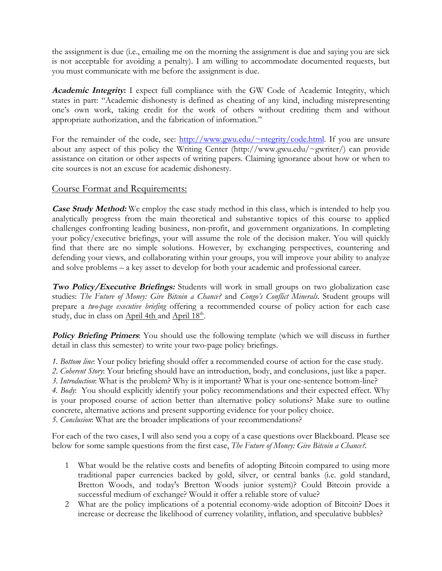the assignment is due (i.e., emailing me on the morning the assignment is due and saying you are sick is not acceptable for avoiding a penalty). I am willing to accommodate documented requests, but you must communicate with me before the assignment is due.

**Academic Integrity:** I expect full compliance with the GW Code of Academic Integrity, which states in part: "Academic dishonesty is defined as cheating of any kind, including misrepresenting one's own work, taking credit for the work of others without crediting them and without appropriate authorization, and the fabrication of information."

For the remainder of the code, see: http://www.gwu.edu/~ntegrity/code.html. If you are unsure about any aspect of this policy the Writing Center (http://www.gwu.edu/~gwriter/) can provide assistance on citation or other aspects of writing papers. Claiming ignorance about how or when to cite sources is not an excuse for academic dishonesty.

### Course Format and Requirements:

**Case Study Method:** We employ the case study method in this class, which is intended to help you analytically progress from the main theoretical and substantive topics of this course to applied challenges confronting leading business, non-profit, and government organizations. In completing your policy/executive briefings, your will assume the role of the decision maker. You will quickly find that there are no simple solutions. However, by exchanging perspectives, countering and defending your views, and collaborating within your groups, you will improve your ability to analyze and solve problems – a key asset to develop for both your academic and professional career.

**Two Policy/Executive Briefings:** Students will work in small groups on two globalization case studies: *The Future of Money: Give Bitcoin a Chance?* and *Congo's Conflict Minerals.* Student groups will prepare a *two-page executive briefing* offering a recommended course of policy action for each case study, due in class on April 4th and April 18<sup>th</sup>.

**Policy Briefing Primers:** You should use the following template (which we will discuss in further detail in class this semester) to write your two-page policy briefings.

*1. Bottom line*: Your policy briefing should offer a recommended course of action for the case study.

*2. Coherent Story*: Your briefing should have an introduction, body, and conclusions, just like a paper.

*3. Introduction*: What is the problem? Why is it important? What is your one-sentence bottom-line?

*4. Body*: You should explicitly identify your policy recommendations and their expected effect. Why is your proposed course of action better than alternative policy solutions? Make sure to outline concrete, alternative actions and present supporting evidence for your policy choice. *5. Conclusion*: What are the broader implications of your recommendations?

For each of the two cases, I will also send you a copy of a case questions over Blackboard. Please see below for some sample questions from the first case, *The Future of Money: Give Bitcoin a Chance?*.

- 1 What would be the relative costs and benefits of adopting Bitcoin compared to using more traditional paper currencies backed by gold, silver, or central banks (i.e. gold standard, Bretton Woods, and today's Bretton Woods junior system)? Could Bitcoin provide a successful medium of exchange? Would it offer a reliable store of value?
- 2 What are the policy implications of a potential economy-wide adoption of Bitcoin? Does it increase or decrease the likelihood of currency volatility, inflation, and speculative bubbles?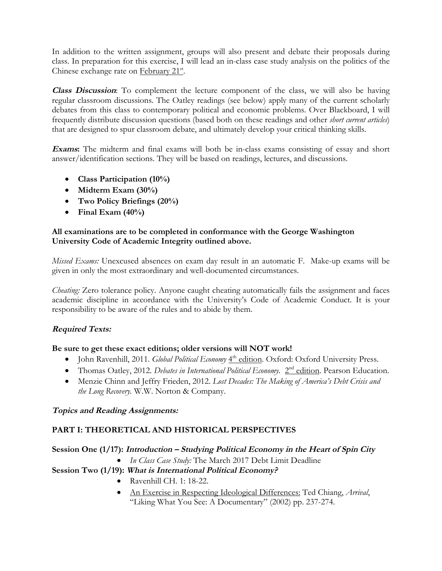In addition to the written assignment, groups will also present and debate their proposals during class. In preparation for this exercise, I will lead an in-class case study analysis on the politics of the Chinese exchange rate on February 21<sup>st</sup>.

**Class Discussion**: To complement the lecture component of the class, we will also be having regular classroom discussions. The Oatley readings (see below) apply many of the current scholarly debates from this class to contemporary political and economic problems. Over Blackboard, I will frequently distribute discussion questions (based both on these readings and other *short current articles*) that are designed to spur classroom debate, and ultimately develop your critical thinking skills.

**Exams:** The midterm and final exams will both be in-class exams consisting of essay and short answer/identification sections. They will be based on readings, lectures, and discussions.

- **Class Participation (10%)**
- **Midterm Exam (30%)**
- **Two Policy Briefings (20%)**
- **Final Exam (40%)**

#### **All examinations are to be completed in conformance with the George Washington University Code of Academic Integrity outlined above.**

*Missed Exams:* Unexcused absences on exam day result in an automatic F. Make-up exams will be given in only the most extraordinary and well-documented circumstances.

*Cheating:* Zero tolerance policy. Anyone caught cheating automatically fails the assignment and faces academic discipline in accordance with the University's Code of Academic Conduct. It is your responsibility to be aware of the rules and to abide by them.

### **Required Texts:**

### **Be sure to get these exact editions; older versions will NOT work!**

- John Ravenhill, 2011. *Global Political Economy* 4<sup>th</sup> edition. Oxford: Oxford University Press.
- Thomas Oatley, 2012. *Debates in International Political Economy*. 2<sup>nd</sup> edition. Pearson Education.
- Menzie Chinn and Jeffry Frieden, 2012. *Lost Decades: The Making of America's Debt Crisis and the Long Recovery.* W.W. Norton & Company.

### **Topics and Reading Assignments:**

### **PART I: THEORETICAL AND HISTORICAL PERSPECTIVES**

### **Session One (1/17): Introduction – Studying Political Economy in the Heart of Spin City**

• *In Class Case Study:* The March 2017 Debt Limit Deadline

### **Session Two (1/19): What is International Political Economy?**

- Ravenhill CH. 1: 18-22.
- An Exercise in Respecting Ideological Differences: Ted Chiang, *Arrival*, "Liking What You See: A Documentary" (2002) pp. 237-274.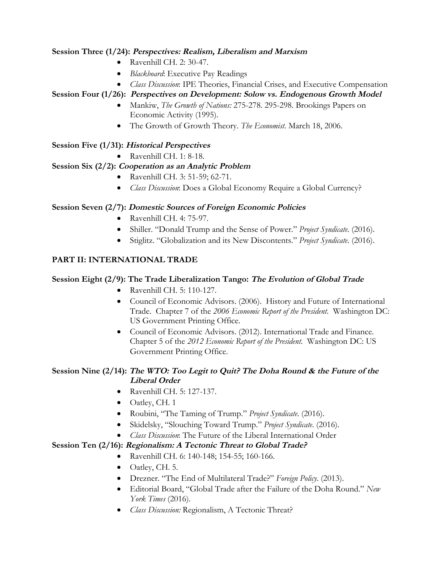### **Session Three (1/24): Perspectives: Realism, Liberalism and Marxism**

- Ravenhill CH. 2: 30-47.
- *Blackboard*: Executive Pay Readings
- *Class Discussion*: IPE Theories, Financial Crises, and Executive Compensation

## **Session Four (1/26): Perspectives on Development: Solow vs. Endogenous Growth Model**

- Mankiw, *The Growth of Nations:* 275-278. 295-298. Brookings Papers on Economic Activity (1995).
- The Growth of Growth Theory. *The Economist*. March 18, 2006.

## **Session Five (1/31): Historical Perspectives**

• Ravenhill CH. 1: 8-18.

## **Session Six (2/2): Cooperation as an Analytic Problem**

- Ravenhill CH. 3: 51-59; 62-71.
- *Class Discussion*: Does a Global Economy Require a Global Currency?

### **Session Seven (2/7): Domestic Sources of Foreign Economic Policies**

- Ravenhill CH. 4: 75-97.
- Shiller. "Donald Trump and the Sense of Power." *Project Syndicate*. (2016).
- Stiglitz. "Globalization and its New Discontents." *Project Syndicate*. (2016).

# **PART II: INTERNATIONAL TRADE**

### **Session Eight (2/9): The Trade Liberalization Tango: The Evolution of Global Trade**

- Ravenhill CH. 5: 110-127.
- Council of Economic Advisors. (2006). History and Future of International Trade. Chapter 7 of the *2006 Economic Report of the President*. Washington DC: US Government Printing Office.
- Council of Economic Advisors. (2012). International Trade and Finance. Chapter 5 of the *2012 Economic Report of the President*. Washington DC: US Government Printing Office.

## **Session Nine (2/14): The WTO: Too Legit to Quit? The Doha Round & the Future of the Liberal Order**

- Ravenhill CH. 5: 127-137.
- Oatley, CH. 1
- Roubini, "The Taming of Trump." *Project Syndicate*. (2016).
- Skidelsky, "Slouching Toward Trump." *Project Syndicate*. (2016).
- *Class Discussion*: The Future of the Liberal International Order

### **Session Ten (2/16): Regionalism: A Tectonic Threat to Global Trade?**

- Ravenhill CH. 6: 140-148; 154-55; 160-166.
- Oatley, CH. 5.
- Drezner. "The End of Multilateral Trade?" *Foreign Policy*. (2013).
- Editorial Board, "Global Trade after the Failure of the Doha Round." *New York Times* (2016).
- *Class Discussion:* Regionalism, A Tectonic Threat?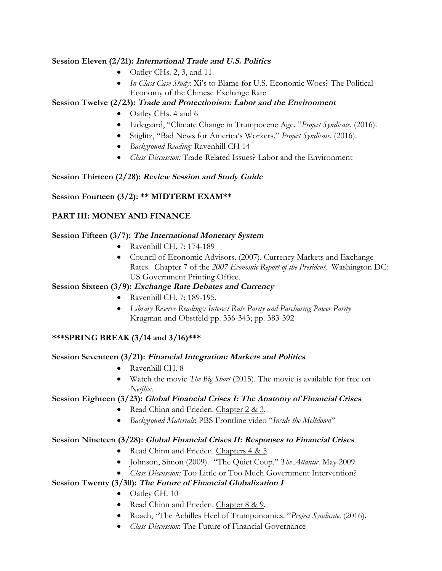#### **Session Eleven (2/21): International Trade and U.S. Politics**

- Oatley CHs. 2, 3, and 11.
- *In-Class Case Study*: Xi's to Blame for U.S. Economic Woes? The Political Economy of the Chinese Exchange Rate

### **Session Twelve (2/23): Trade and Protectionism: Labor and the Environment**

- Oatley CHs. 4 and 6
- Lidegaard, "Climate Change in Trumpocene Age. "*Project Syndicate*. (2016).
- Stiglitz, "Bad News for America's Workers." *Project Syndicate*. (2016).
- *Background Reading:* Ravenhill CH 14
- *Class Discussion:* Trade-Related Issues? Labor and the Environment

### **Session Thirteen (2/28): Review Session and Study Guide**

## **Session Fourteen (3/2): \*\* MIDTERM EXAM\*\***

## **PART III: MONEY AND FINANCE**

#### **Session Fifteen (3/7): The International Monetary System**

- Ravenhill CH. 7: 174-189
- Council of Economic Advisors. (2007). Currency Markets and Exchange Rates. Chapter 7 of the *2007 Economic Report of the President*. Washington DC: US Government Printing Office.

### **Session Sixteen (3/9): Exchange Rate Debates and Currency**

- Ravenhill CH. 7: 189-195.
- *Library Reserve Readings: Interest Rate Parity and Purchasing Power Parity* Krugman and Obstfeld pp. 336-343; pp. 383-392

### **\*\*\*SPRING BREAK (3/14 and 3/16)\*\*\***

### **Session Seventeen (3/21): Financial Integration: Markets and Politics**

- Ravenhill CH. 8
- Watch the movie *The Big Short* (2015). The movie is available for free on *Netflix*.

### **Session Eighteen (3/23): Global Financial Crises I: The Anatomy of Financial Crises**

- Read Chinn and Frieden. Chapter 2 & 3.
- *Background Materials*: PBS Frontline video "*Inside the Meltdown*"

### **Session Nineteen (3/28): Global Financial Crises II: Responses to Financial Crises**

- Read Chinn and Frieden. Chapters 4 & 5.
- Johnson, Simon (2009). "The Quiet Coup." *The Atlantic*. May 2009.
- *Class Discussion:* Too Little or Too Much Government Intervention?

### **Session Twenty (3/30): The Future of Financial Globalization <sup>I</sup>**

- Oatley CH. 10
- Read Chinn and Frieden. Chapter 8 & 9.
- Roach, "The Achilles Heel of Trumponomics. "*Project Syndicate*. (2016).
- *Class Discussion*: The Future of Financial Governance